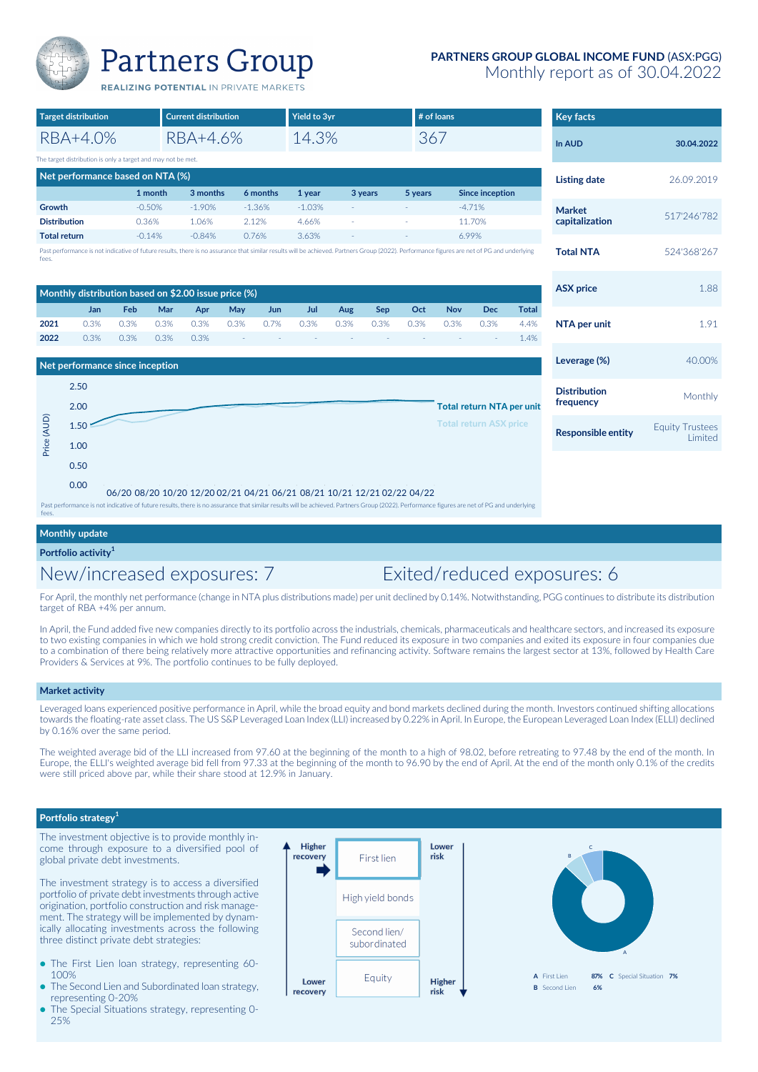

## **PARTNERS GROUP GLOBAL INCOME FUND** (ASX:PGG)

Monthly report as of 30.04.2022

Equity Trustees<br>Limited

**Distribution**<br>**Example:** Monthly

**frequency**

| <b>Target distribution</b> |                                                              |            | <b>Current distribution</b> |                                                                                                                                                                                            |      | <b>Yield to 3yr</b> |          |      |            | # of loans |            |                        | <b>Key facts</b> |                     |             |
|----------------------------|--------------------------------------------------------------|------------|-----------------------------|--------------------------------------------------------------------------------------------------------------------------------------------------------------------------------------------|------|---------------------|----------|------|------------|------------|------------|------------------------|------------------|---------------------|-------------|
|                            | RBA+4.0%                                                     |            |                             | RBA+4.6%                                                                                                                                                                                   |      |                     | 14.3%    |      |            |            | 367        |                        |                  | In AUD              | 30.04.2022  |
|                            | The target distribution is only a target and may not be met. |            |                             |                                                                                                                                                                                            |      |                     |          |      |            |            |            |                        |                  |                     |             |
|                            | Net performance based on NTA (%)                             |            |                             |                                                                                                                                                                                            |      |                     |          |      |            |            |            |                        |                  | <b>Listing date</b> | 26.09.2019  |
|                            |                                                              |            | 1 month                     | 3 months                                                                                                                                                                                   |      | 6 months            | 1 year   |      | 3 years    | 5 years    |            | <b>Since inception</b> |                  |                     |             |
| Growth                     |                                                              |            | $-0.50%$                    | $-1.90%$                                                                                                                                                                                   |      | $-1.36%$            | $-1.03%$ |      |            |            |            | $-4.71%$               |                  | <b>Market</b>       |             |
| <b>Distribution</b>        |                                                              |            | 0.36%                       | 1.06%                                                                                                                                                                                      |      | 2.12%               | 4.66%    | ٠    |            |            |            | 11.70%                 |                  | capitalization      | 517'246'782 |
| <b>Total return</b>        |                                                              |            | $-0.14%$                    | $-0.84%$                                                                                                                                                                                   |      | 0.76%               | 3.63%    |      |            |            |            | 6.99%                  |                  |                     |             |
| fees.                      |                                                              |            |                             | Past performance is not indicative of future results, there is no assurance that similar results will be achieved. Partners Group (2022). Performance figures are net of PG and underlying |      |                     |          |      |            |            |            |                        |                  | <b>Total NTA</b>    | 524'368'267 |
|                            |                                                              |            |                             |                                                                                                                                                                                            |      |                     |          |      |            |            |            |                        |                  |                     |             |
|                            |                                                              |            |                             | Monthly distribution based on \$2.00 issue price (%)                                                                                                                                       |      |                     |          |      |            |            |            |                        |                  | <b>ASX</b> price    | 1.88        |
|                            | <b>Jan</b>                                                   | <b>Feb</b> | Mar                         | Apr                                                                                                                                                                                        | May  | <b>Jun</b>          | Jul      | Aug  | <b>Sep</b> | Oct        | <b>Nov</b> | <b>Dec</b>             | <b>Total</b>     |                     |             |
| 2021                       | 0.3%                                                         | 0.3%       | 0.3%                        | 0.3%                                                                                                                                                                                       | 0.3% | 0.7%                | 0.3%     | 0.3% | 0.3%       | 0.3%       | 0.3%       | 0.3%                   | 4.4%             | NTA per unit        | 1.91        |
| 2022                       | 0.3%                                                         | 0.3%       | 0.3%                        | 0.3%                                                                                                                                                                                       |      |                     |          |      |            |            |            |                        | 1.4%             |                     |             |





Past performance is not indicative of future results, there is no assurance that similar results will be achieved. Partners Group (2022). Performance figures are net of PG and underlying fees.

## **Monthly update**

**Portfolio activity<sup>1</sup>**

# New/increased exposures: 7 Exited/reduced exposures: 6

For April, the monthly net performance (change in NTA plus distributions made) per unit declined by 0.14%. Notwithstanding, PGG continues to distribute its distribution target of RBA +4% per annum.

In April, the Fund added five new companies directly to its portfolio across the industrials, chemicals, pharmaceuticals and healthcare sectors, and increased its exposure to two existing companies in which we hold strong credit conviction. The Fund reduced its exposure in two companies and exited its exposure in four companies due to a combination of there being relatively more attractive opportunities and refinancing activity. Software remains the largest sector at 13%, followed by Health Care Providers & Services at 9%. The portfolio continues to be fully deployed.

### **Market activity**

Leveraged loans experienced positive performance in April, while the broad equity and bond markets declined during the month. Investors continued shifting allocations towards the floating-rate asset class. The US S&P Leveraged Loan Index (LLI) increased by 0.22% in April. In Europe, the European Leveraged Loan Index (ELLI) declined by 0.16% over the same period.

The weighted average bid of the LLI increased from 97.60 at the beginning of the month to a high of 98.02, before retreating to 97.48 by the end of the month. In Europe, the ELLI's weighted average bid fell from 97.33 at the beginning of the month to 96.90 by the end of April. At the end of the month only 0.1% of the credits were still priced above par, while their share stood at 12.9% in January.

### Portfolio strategy**<sup>1</sup>**

The investment objective is to provide monthly income through exposure to a diversified pool of global private debt investments.

The investment strategy is to access a diversified portfolio of private debt investments through active origination, portfolio construction and risk management. The strategy will be implemented by dynamically allocating investments across the following three distinct private debt strategies:

- The First Lien loan strategy, representing 60-100%
- The Second Lien and Subordinated loan strategy, representing 0-20% ●
- The Special Situations strategy, representing 0- 25% ●